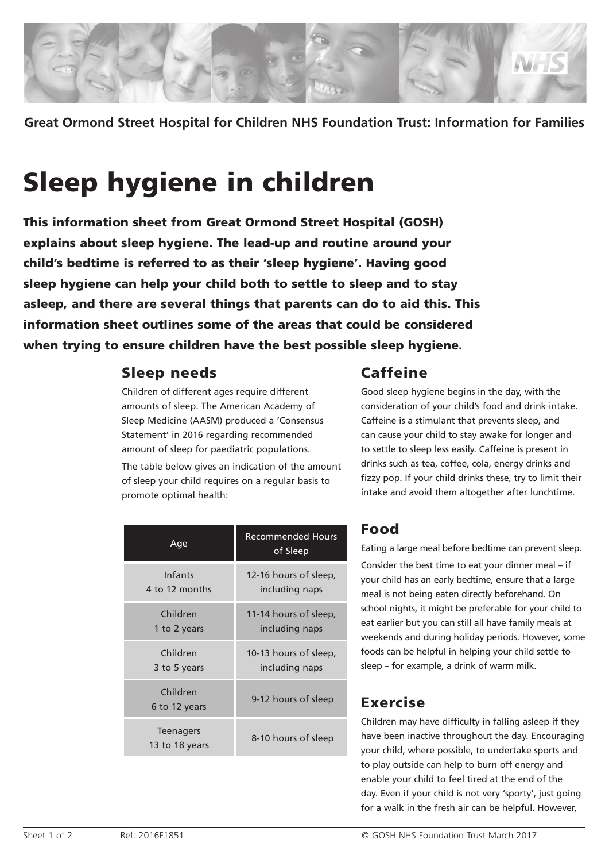

**Great Ormond Street Hospital for Children NHS Foundation Trust: Information for Families**

# Sleep hygiene in children

This information sheet from Great Ormond Street Hospital (GOSH) explains about sleep hygiene. The lead-up and routine around your child's bedtime is referred to as their 'sleep hygiene'. Having good sleep hygiene can help your child both to settle to sleep and to stay asleep, and there are several things that parents can do to aid this. This information sheet outlines some of the areas that could be considered when trying to ensure children have the best possible sleep hygiene.

#### Sleep needs

Children of different ages require different amounts of sleep. The American Academy of Sleep Medicine (AASM) produced a 'Consensus Statement' in 2016 regarding recommended amount of sleep for paediatric populations.

The table below gives an indication of the amount of sleep your child requires on a regular basis to promote optimal health:

#### Caffeine

Good sleep hygiene begins in the day, with the consideration of your child's food and drink intake. Caffeine is a stimulant that prevents sleep, and can cause your child to stay awake for longer and to settle to sleep less easily. Caffeine is present in drinks such as tea, coffee, cola, energy drinks and fizzy pop. If your child drinks these, try to limit their intake and avoid them altogether after lunchtime.

| Age                                | <b>Recommended Hours</b><br>of Sleep |
|------------------------------------|--------------------------------------|
| Infants                            | 12-16 hours of sleep,                |
| 4 to 12 months                     | including naps                       |
| Children                           | 11-14 hours of sleep.                |
| 1 to 2 years                       | including naps                       |
| Children                           | 10-13 hours of sleep,                |
| 3 to 5 years                       | including naps                       |
| Children<br>6 to 12 years          | 9-12 hours of sleep                  |
| <b>Teenagers</b><br>13 to 18 years | 8-10 hours of sleep                  |

## Food

Eating a large meal before bedtime can prevent sleep.

Consider the best time to eat your dinner meal – if your child has an early bedtime, ensure that a large meal is not being eaten directly beforehand. On school nights, it might be preferable for your child to eat earlier but you can still all have family meals at weekends and during holiday periods. However, some foods can be helpful in helping your child settle to sleep – for example, a drink of warm milk.

#### Exercise

Children may have difficulty in falling asleep if they have been inactive throughout the day. Encouraging your child, where possible, to undertake sports and to play outside can help to burn off energy and enable your child to feel tired at the end of the day. Even if your child is not very 'sporty', just going for a walk in the fresh air can be helpful. However,